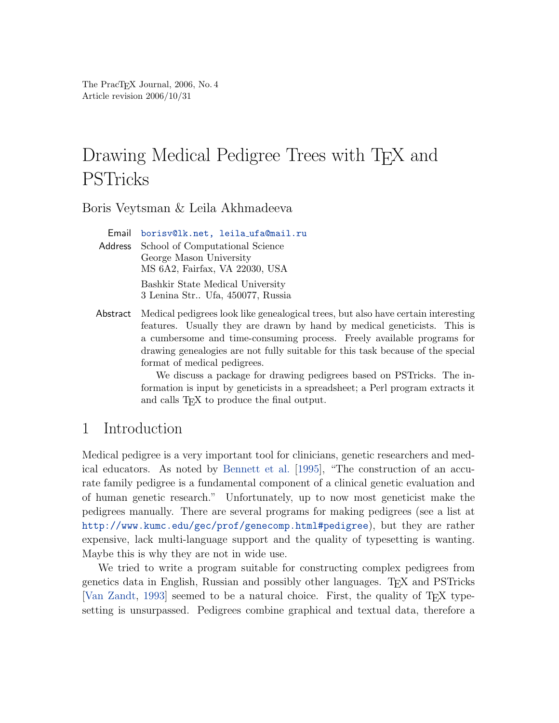The PracTEX Journal, 2006, No. 4 Article revision 2006/10/31

# Drawing Medical Pedigree Trees with T<sub>E</sub>X and PSTricks

Boris Veytsman & Leila Akhmadeeva

Email [borisv@lk.net, leila](mailto:borisv@lk.net,%20leilaprotect global let OT1	extunderscore unhbox voidb@x kern .06emvbox {hrule width.3em}OT1	extunderscore ufa@mail.ru?subject=Re:%20PracTeX%20Journal%20article%20) ufa@mail.ru Address School of Computational Science George Mason University MS 6A2, Fairfax, VA 22030, USA Bashkir State Medical University 3 Lenina Str.. Ufa, 450077, Russia

Abstract Medical pedigrees look like genealogical trees, but also have certain interesting features. Usually they are drawn by hand by medical geneticists. This is a cumbersome and time-consuming process. Freely available programs for drawing genealogies are not fully suitable for this task because of the special format of medical pedigrees.

> We discuss a package for drawing pedigrees based on PSTricks. The information is input by geneticists in a spreadsheet; a Perl program extracts it and calls T<sub>E</sub>X to produce the final output.

## 1 Introduction

Medical pedigree is a very important tool for clinicians, genetic researchers and medical educators. As noted by [Bennett et al.](#page-14-0) [\[1995\]](#page-14-0), "The construction of an accurate family pedigree is a fundamental component of a clinical genetic evaluation and of human genetic research." Unfortunately, up to now most geneticist make the pedigrees manually. There are several programs for making pedigrees (see a list at <http://www.kumc.edu/gec/prof/genecomp.html#pedigree>), but they are rather expensive, lack multi-language support and the quality of typesetting is wanting. Maybe this is why they are not in wide use.

We tried to write a program suitable for constructing complex pedigrees from genetics data in English, Russian and possibly other languages. TEX and PSTricks [\[Van Zandt,](#page-14-1) [1993\]](#page-14-1) seemed to be a natural choice. First, the quality of TEX typesetting is unsurpassed. Pedigrees combine graphical and textual data, therefore a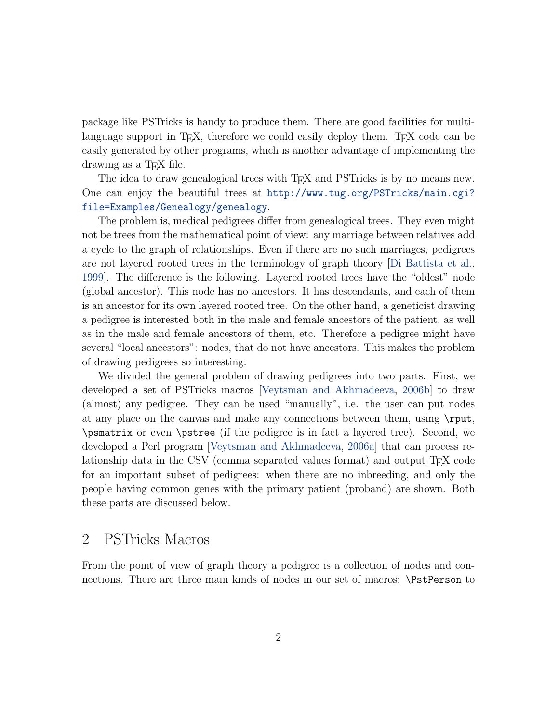package like PSTricks is handy to produce them. There are good facilities for multilanguage support in T<sub>E</sub>X, therefore we could easily deploy them. T<sub>EX</sub> code can be easily generated by other programs, which is another advantage of implementing the drawing as a T<sub>F</sub>X file.

The idea to draw genealogical trees with T<sub>EX</sub> and PST ricks is by no means new. One can enjoy the beautiful trees at [http://www.tug.org/PSTricks/main.cgi?](http://www.tug.org/PSTricks/main.cgi?file=Examples/Genealogy/genealogy) [file=Examples/Genealogy/genealogy](http://www.tug.org/PSTricks/main.cgi?file=Examples/Genealogy/genealogy).

The problem is, medical pedigrees differ from genealogical trees. They even might not be trees from the mathematical point of view: any marriage between relatives add a cycle to the graph of relationships. Even if there are no such marriages, pedigrees are not layered rooted trees in the terminology of graph theory [\[Di Battista et al.,](#page-14-2) [1999\]](#page-14-2). The difference is the following. Layered rooted trees have the "oldest" node (global ancestor). This node has no ancestors. It has descendants, and each of them is an ancestor for its own layered rooted tree. On the other hand, a geneticist drawing a pedigree is interested both in the male and female ancestors of the patient, as well as in the male and female ancestors of them, etc. Therefore a pedigree might have several "local ancestors": nodes, that do not have ancestors. This makes the problem of drawing pedigrees so interesting.

We divided the general problem of drawing pedigrees into two parts. First, we developed a set of PSTricks macros [\[Veytsman and Akhmadeeva,](#page-14-3) [2006b\]](#page-14-3) to draw (almost) any pedigree. They can be used "manually", i.e. the user can put nodes at any place on the canvas and make any connections between them, using \rput, \psmatrix or even \pstree (if the pedigree is in fact a layered tree). Second, we developed a Perl program [\[Veytsman and Akhmadeeva,](#page-14-4) [2006a\]](#page-14-4) that can process relationship data in the CSV (comma separated values format) and output  $T_F X$  code for an important subset of pedigrees: when there are no inbreeding, and only the people having common genes with the primary patient (proband) are shown. Both these parts are discussed below.

#### 2 PSTricks Macros

From the point of view of graph theory a pedigree is a collection of nodes and connections. There are three main kinds of nodes in our set of macros: \PstPerson to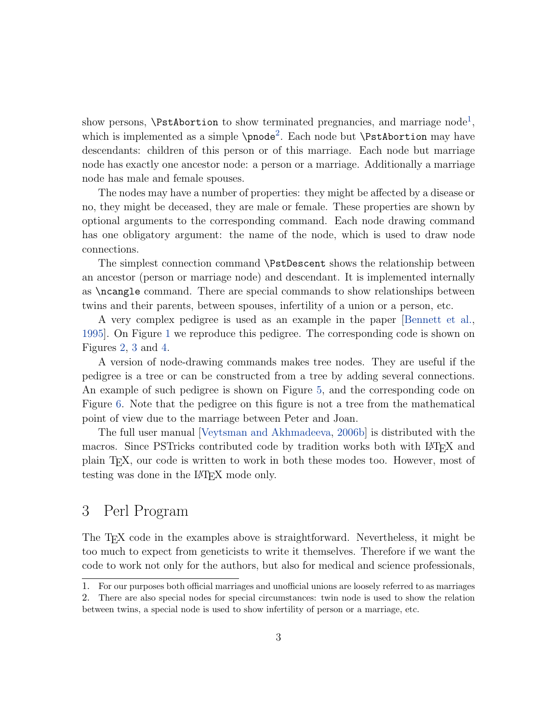show persons,  $\P$ stAbortion to show terminated pregnancies, and marriage node<sup>[1](#page-2-0)</sup>, which is implemented as a simple  $\Omega^2$  $\Omega^2$ . Each node but  $\P$ stAbortion may have descendants: children of this person or of this marriage. Each node but marriage node has exactly one ancestor node: a person or a marriage. Additionally a marriage node has male and female spouses.

The nodes may have a number of properties: they might be affected by a disease or no, they might be deceased, they are male or female. These properties are shown by optional arguments to the corresponding command. Each node drawing command has one obligatory argument: the name of the node, which is used to draw node connections.

The simplest connection command \PstDescent shows the relationship between an ancestor (person or marriage node) and descendant. It is implemented internally as \ncangle command. There are special commands to show relationships between twins and their parents, between spouses, infertility of a union or a person, etc.

A very complex pedigree is used as an example in the paper [\[Bennett et al.,](#page-14-0) [1995\]](#page-14-0). On Figure [1](#page-3-0) we reproduce this pedigree. The corresponding code is shown on Figures [2,](#page-4-0) [3](#page-5-0) and [4.](#page-6-0)

A version of node-drawing commands makes tree nodes. They are useful if the pedigree is a tree or can be constructed from a tree by adding several connections. An example of such pedigree is shown on Figure [5,](#page-7-0) and the corresponding code on Figure [6.](#page-7-1) Note that the pedigree on this figure is not a tree from the mathematical point of view due to the marriage between Peter and Joan.

The full user manual [\[Veytsman and Akhmadeeva,](#page-14-3) [2006b\]](#page-14-3) is distributed with the macros. Since PSTricks contributed code by tradition works both with LAT<sub>E</sub>X and plain TEX, our code is written to work in both these modes too. However, most of testing was done in the LAT<sub>E</sub>X mode only.

## 3 Perl Program

The TEX code in the examples above is straightforward. Nevertheless, it might be too much to expect from geneticists to write it themselves. Therefore if we want the code to work not only for the authors, but also for medical and science professionals,

<span id="page-2-1"></span><span id="page-2-0"></span><sup>1.</sup> For our purposes both official marriages and unofficial unions are loosely referred to as marriages

<sup>2.</sup> There are also special nodes for special circumstances: twin node is used to show the relation between twins, a special node is used to show infertility of person or a marriage, etc.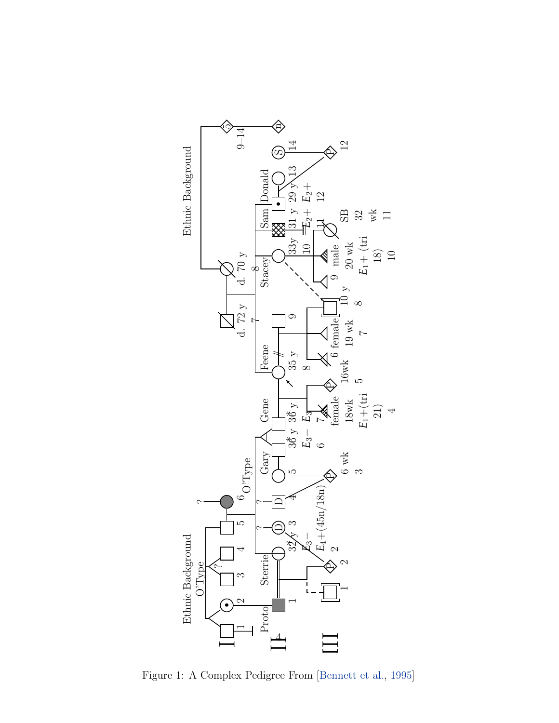

<span id="page-3-0"></span>Figure 1: A Complex Pedigree From [\[Bennett et al.,](#page-14-0) [1995\]](#page-14-0)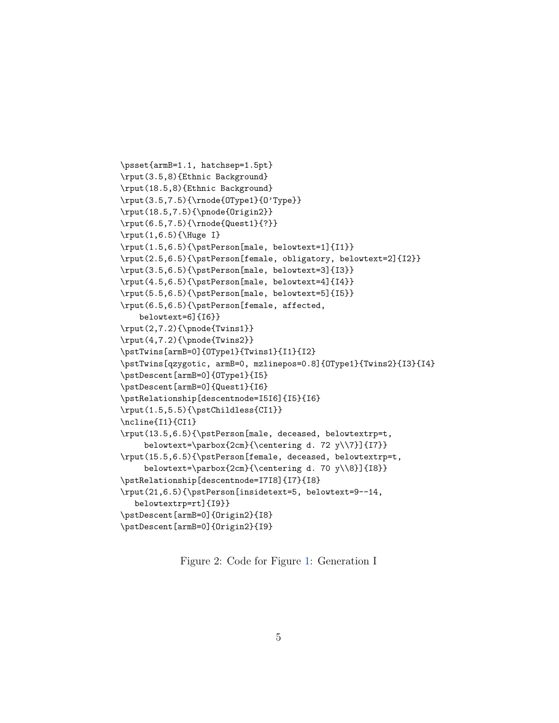```
\psset{armB=1.1, hatchsep=1.5pt}
\rput(3.5,8){Ethnic Background}
\rput(18.5,8){Ethnic Background}
\rput(3.5,7.5){\rnode{OType1}{O'Type}}
\rput(18.5,7.5){\pnode{Origin2}}
\rput(6.5,7.5){\rnode{Quest1}{?}}
\rput(1,6.5){\Huge I}
\rput(1.5,6.5){\pstPerson[male, belowtext=1]{I1}}
\rput(2.5,6.5){\pstPerson[female, obligatory, belowtext=2]{I2}}
\rput(3.5,6.5){\pstPerson[male, belowtext=3]{I3}}
\rput(4.5,6.5){\pstPerson[male, belowtext=4]{I4}}
\rput(5.5,6.5){\pstPerson[male, belowtext=5]{I5}}
\rput(6.5,6.5){\pstPerson[female, affected,
   belowtext=6]{I6}}
\rput(2,7.2){\pnode{Twins1}}
\rput(4,7.2){\pnode{Twins2}}
\pstTwins[armB=0]{OType1}{Twins1}{I1}{I2}
\pstTwins[qzygotic, armB=0, mzlinepos=0.8]{OType1}{Twins2}{I3}{I4}
\pstDescent[armB=0]{OType1}{I5}
\pstDescent[armB=0]{Quest1}{I6}
\pstRelationship[descentnode=I5I6]{I5}{I6}
\rput(1.5,5.5){\pstChildless{CI1}}
\ncline{I1}{CI1}
\rput(13.5,6.5){\pstPerson[male, deceased, belowtextrp=t,
    belowtext=\parbox{2cm}{\centering d. 72 y\\7}]{I7}}
\rput(15.5,6.5){\pstPerson[female, deceased, belowtextrp=t,
    belowtext=\parbox{2cm}{\centering d. 70 y\\8}]{I8}}
\pstRelationship[descentnode=I7I8]{I7}{I8}
\rput(21,6.5){\pstPerson[insidetext=5, belowtext=9--14,
  belowtextrp=rt]{I9}}
\pstDescent[armB=0]{Origin2}{I8}
\pstDescent[armB=0]{Origin2}{I9}
```
<span id="page-4-0"></span>Figure 2: Code for Figure [1:](#page-3-0) Generation I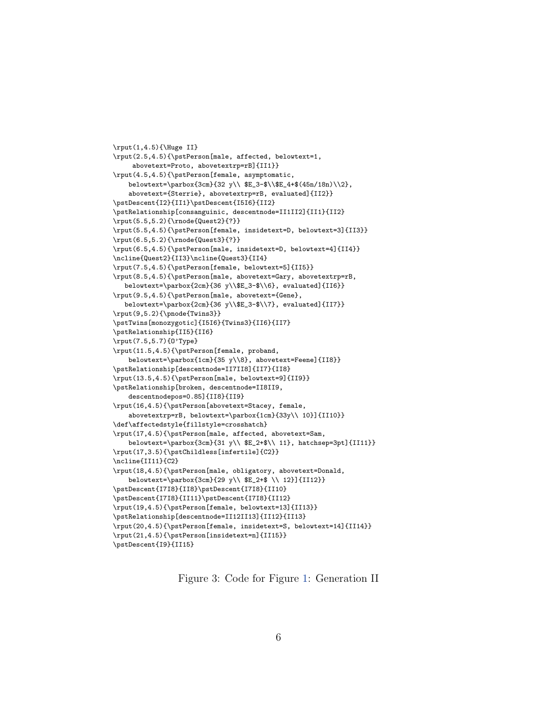```
\rput(1,4.5){\Huge II}
\rput(2.5,4.5){\pstPerson[male, affected, belowtext=1,
     abovetext=Proto, abovetextrp=rB]{II1}}
\rput(4.5,4.5){\pstPerson[female, asymptomatic,
   belowtext=\parbox{3cm}{32 y\\ $E_3-$\\$E_4+$(45n/18n)\\2},
    abovetext={Sterrie}, abovetextrp=rB, evaluated]{II2}}
\pstDescent{I2}{II1}\pstDescent{I5I6}{II2}
\pstRelationship[consanguinic, descentnode=II1II2]{II1}{II2}
\rput(5.5,5.2){\rnode{Quest2}{?}}
\rput(5.5,4.5){\pstPerson[female, insidetext=D, belowtext=3]{II3}}
\rput(6.5,5.2){\rnode{Quest3}{?}}
\rput(6.5,4.5){\pstPerson[male, insidetext=D, belowtext=4]{II4}}
\ncline{Quest2}{II3}\ncline{Quest3}{II4}
\rput(7.5,4.5){\pstPerson[female, belowtext=5]{II5}}
\rput(8.5,4.5){\pstPerson[male, abovetext=Gary, abovetextrp=rB,
   belowtext=\parbox{2cm}{36 y\\$E_3-$\\6}, evaluated]{II6}}
\rput(9.5,4.5){\pstPerson[male, abovetext={Gene},
   belowtext=\parbox{2cm}{36 y\\$E_3-$\\7}, evaluated]{II7}}
\rput(9,5.2){\pmod{Twins3}}\pstTwins[monozygotic]{I5I6}{Twins3}{II6}{II7}
\pstRelationship{II5}{II6}
\rput(7.5,5.7){O'Type}
\rput(11.5,4.5){\pstPerson[female, proband,
    belowtext=\parbox{1cm}{35 y\\8}, abovetext=Feene]{II8}}
\pstRelationship[descentnode=II7II8]{II7}{II8}
\rput(13.5,4.5){\pstPerson[male, belowtext=9]{II9}}
\pstRelationship[broken, descentnode=II8II9,
   descentnodepos=0.85]{II8}{II9}
\rput(16,4.5){\pstPerson[abovetext=Stacey, female,
    abovetextrp=rB, belowtext=\parbox{1cm}{33y\\ 10}]{II10}}
\def\affectedstyle{fillstyle=crosshatch}
\rput(17,4.5){\pstPerson[male, affected, abovetext=Sam,
    belowtext=\parbox{3cm}{31 y\\ $E_2+$\\ 11}, hatchsep=3pt]{II11}}
\rput(17,3.5){\pstChildless[infertile]{C2}}
\ncline{II11}{C2}
\rput(18,4.5){\pstPerson[male, obligatory, abovetext=Donald,
    belowtext=\parbox{3cm}{29 y\\ $E_2+$ \\ 12}]{II12}}
\pstDescent{I7I8}{II8}\pstDescent{I7I8}{II10}
\pstDescent{I7I8}{II11}\pstDescent{I7I8}{II12}
\rput(19,4.5){\pstPerson[female, belowtext=13]{II13}}
\pstRelationship[descentnode=II12II13]{II12}{II13}
\verb+\xput(20,4.5){\system[female,\ insidetext=S,\ belowtext=14]{1I14}}\rput(21,4.5){\pstPerson[insidetext=n]{II15}}
\pstDescent{I9}{II15}
```
<span id="page-5-0"></span>Figure 3: Code for Figure [1:](#page-3-0) Generation II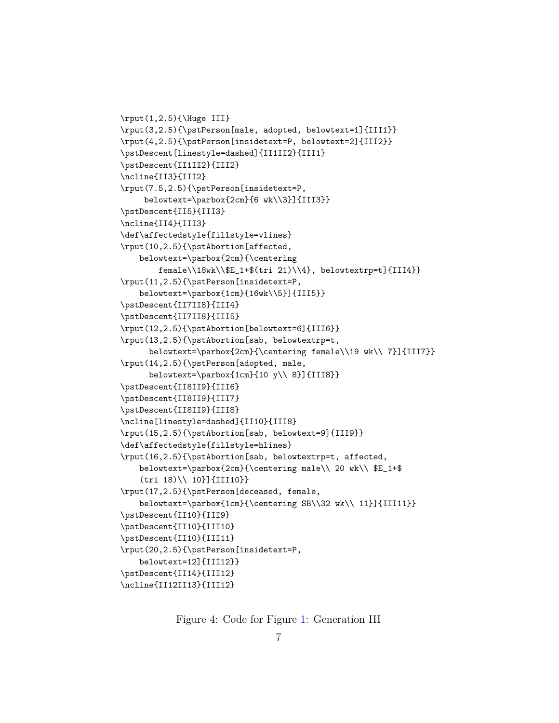```
\rput(1,2.5){\Huge III}
\rput(3,2.5){\pstPerson[male, adopted, belowtext=1]{III1}}
\rput(4,2.5){\pstPerson[insidetext=P, belowtext=2]{III2}}
\pstDescent[linestyle=dashed]{II1II2}{III1}
\pstDescent{II1II2}{III2}
\ncline{II3}{III2}
\rput(7.5,2.5){\pstPerson[insidetext=P,
    belowtext=\parbox{2cm}{6 wk\\3}]{III3}}
\pstDescent{II5}{III3}
\ncline{II4}{III3}
\def\affectedstyle{fillstyle=vlines}
\rput(10,2.5){\pstAbortion[affected,
   belowtext=\parbox{2cm}{\centering
        female\\18wk\\$E_1+$(tri 21)\\4}, belowtextrp=t]{III4}}
\rput(11,2.5){\pstPerson[insidetext=P,
    belowtext=\parbox{1cm}{16wk\\5}]{III5}}
\pstDescent{II7II8}{III4}
\pstDescent{II7II8}{III5}
\rput(12,2.5){\pstAbortion[belowtext=6]{III6}}
\rput(13,2.5){\pstAbortion[sab, belowtextrp=t,
      belowtext=\parbox{2cm}{\centering female\\19 wk\\ 7}]{III7}}
\rput(14,2.5){\pstPerson[adopted, male,
      belowtext=\parbox{1cm}{10 y\\ 8}]{III8}}
\pstDescent{II8II9}{III6}
\pstDescent{II8II9}{III7}
\pstDescent{II8II9}{III8}
\ncline[linestyle=dashed]{II10}{III8}
\rput(15,2.5){\pstAbortion[sab, belowtext=9]{III9}}
\def\affectedstyle{fillstyle=hlines}
\rput(16,2.5){\pstAbortion[sab, belowtextrp=t, affected,
   belowtext=\parbox{2cm}{\centering male\\ 20 wk\\ $E_1+$
    (tri 18)\\ 10}]{III10}}
\rput(17,2.5){\pstPerson[deceased, female,
   belowtext=\parbox{1cm}{\centering SB\\32 wk\\ 11}]{III11}}
\pstDescent{II10}{III9}
\pstDescent{II10}{III10}
\pstDescent{II10}{III11}
\rput(20,2.5){\pstPerson[insidetext=P,
   belowtext=12]{III12}}
\pstDescent{II14}{III12}
\ncline{II12II13}{III12}
```
<span id="page-6-0"></span>Figure 4: Code for Figure [1:](#page-3-0) Generation III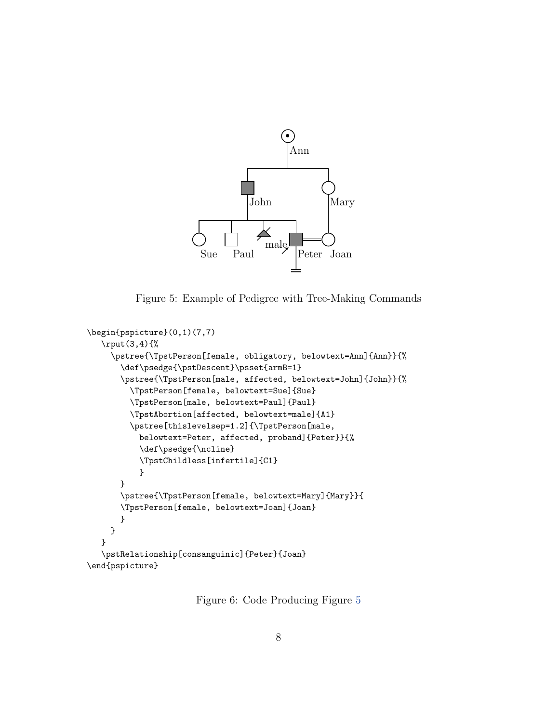

<span id="page-7-0"></span>Figure 5: Example of Pedigree with Tree-Making Commands

```
\begin{pspicture}(0,1)(7,7)
   \rput(3,4){%
     \pstree{\TpstPerson[female, obligatory, belowtext=Ann]{Ann}}{%
       \def\psedge{\pstDescent}\psset{armB=1}
       \pstree{\TpstPerson[male, affected, belowtext=John]{John}}{%
         \TpstPerson[female, belowtext=Sue]{Sue}
         \TpstPerson[male, belowtext=Paul]{Paul}
         \TpstAbortion[affected, belowtext=male]{A1}
         \pstree[thislevelsep=1.2]{\TpstPerson[male,
           belowtext=Peter, affected, proband]{Peter}}{%
           \def\psedge{\ncline}
           \TpstChildless[infertile]{C1}
           }
       }
       \pstree{\TpstPerson[female, belowtext=Mary]{Mary}}{
       \TpstPerson[female, belowtext=Joan]{Joan}
       }
    }
   }
   \pstRelationship[consanguinic]{Peter}{Joan}
\end{pspicture}
```
<span id="page-7-1"></span>Figure 6: Code Producing Figure [5](#page-7-0)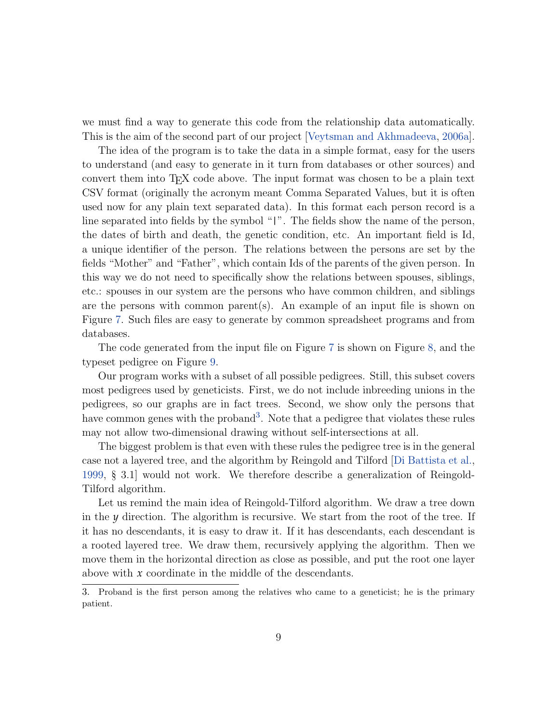we must find a way to generate this code from the relationship data automatically. This is the aim of the second part of our project [\[Veytsman and Akhmadeeva,](#page-14-4) [2006a\]](#page-14-4).

The idea of the program is to take the data in a simple format, easy for the users to understand (and easy to generate in it turn from databases or other sources) and convert them into TEX code above. The input format was chosen to be a plain text CSV format (originally the acronym meant Comma Separated Values, but it is often used now for any plain text separated data). In this format each person record is a line separated into fields by the symbol "|". The fields show the name of the person, the dates of birth and death, the genetic condition, etc. An important field is Id, a unique identifier of the person. The relations between the persons are set by the fields "Mother" and "Father", which contain Ids of the parents of the given person. In this way we do not need to specifically show the relations between spouses, siblings, etc.: spouses in our system are the persons who have common children, and siblings are the persons with common parent(s). An example of an input file is shown on Figure [7.](#page-9-0) Such files are easy to generate by common spreadsheet programs and from databases.

The code generated from the input file on Figure [7](#page-9-0) is shown on Figure [8,](#page-10-0) and the typeset pedigree on Figure [9.](#page-11-0)

Our program works with a subset of all possible pedigrees. Still, this subset covers most pedigrees used by geneticists. First, we do not include inbreeding unions in the pedigrees, so our graphs are in fact trees. Second, we show only the persons that have common genes with the proband<sup>[3](#page-8-0)</sup>. Note that a pedigree that violates these rules may not allow two-dimensional drawing without self-intersections at all.

The biggest problem is that even with these rules the pedigree tree is in the general case not a layered tree, and the algorithm by Reingold and Tilford [\[Di Battista et al.,](#page-14-2) [1999,](#page-14-2) § 3.1] would not work. We therefore describe a generalization of Reingold-Tilford algorithm.

Let us remind the main idea of Reingold-Tilford algorithm. We draw a tree down in the *y* direction. The algorithm is recursive. We start from the root of the tree. If it has no descendants, it is easy to draw it. If it has descendants, each descendant is a rooted layered tree. We draw them, recursively applying the algorithm. Then we move them in the horizontal direction as close as possible, and put the root one layer above with *x* coordinate in the middle of the descendants.

<span id="page-8-0"></span><sup>3.</sup> Proband is the first person among the relatives who came to a geneticist; he is the primary patient.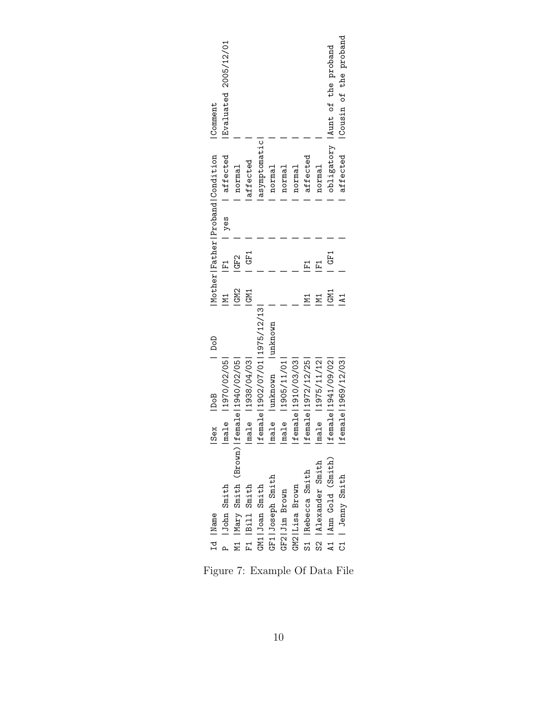| Evaluated 2005/12/01<br>Comment             |                                          |                   |                                  |                        |                   |                     |                     |                      | obligatory launt of the proband | affected   Cousin of the proband |
|---------------------------------------------|------------------------------------------|-------------------|----------------------------------|------------------------|-------------------|---------------------|---------------------|----------------------|---------------------------------|----------------------------------|
| Mother Father Proband Condition<br>affected | normal                                   | affected          | asymptomatic                     | normal                 | normal            | normal              | affected            | normal               |                                 |                                  |
|                                             | yes                                      |                   |                                  |                        |                   |                     |                     |                      |                                 |                                  |
| $\overline{F1}$                             | GF2                                      | GF1               |                                  |                        |                   |                     |                     | $\overline{F}$       | GF1                             |                                  |
| и1<br>1                                     | GM <sub>2</sub>                          | GM1               |                                  |                        |                   |                     |                     |                      | GM1                             |                                  |
| $\frac{1}{2}$                               |                                          |                   | female   1902/07/01   1975/12/13 | male lunknown lunknown |                   |                     |                     |                      |                                 |                                  |
| male   1970/02/05 <br>Sex  DoB              |                                          | male   1938/04/03 |                                  |                        | male   1905/11/01 | female   1910/03/03 | female   1972/12/25 | male   1975/11/12    | female   1941/09/02             | female   1969/12/03              |
|                                             |                                          |                   |                                  |                        |                   |                     |                     |                      |                                 |                                  |
| P   John Smith<br>Id Name                   | M1  Mary Smith (Brown) female 1940/02/05 | F1   Bill Smith   | GM1 Joan Smith                   | GF1 Joseph Smith       | GF2 Jim Brown     | GM2   Lisa Brown    | S1 Rebecca Smith    | S2   Alexander Smith | A1   Ann Gold (Smith)           | C1   Jenny Smith                 |

<span id="page-9-0"></span>Figure 7: Example Of Data File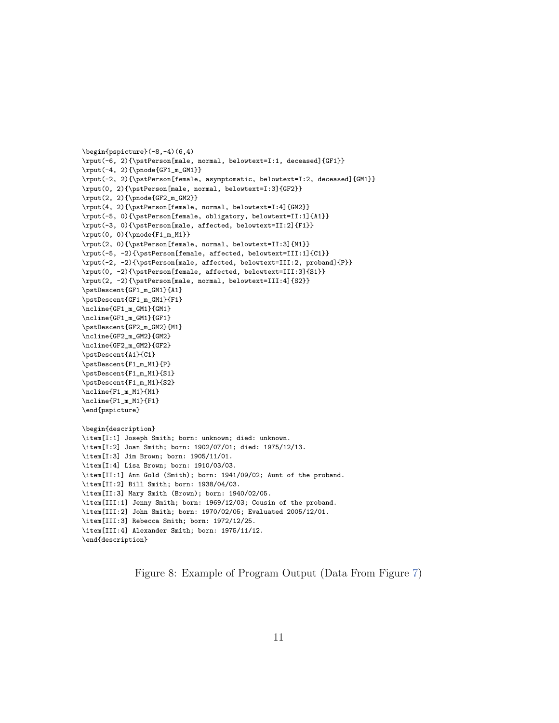```
\begin{pspicture}(-8,-4)(6,4)
\rput(-6, 2){\pstPerson[male, normal, belowtext=I:1, deceased]{GF1}}
\rput(-4, 2){\pmod{GF1_m_GM1}}\rput(-2, 2){\pstPerson[female, asymptomatic, belowtext=I:2, deceased]{GM1}}
\rput(0, 2){\pstPerson[male, normal, belowtext=I:3]{GF2}}
\rrput(2, 2){\pmod{GF2_m_GM2}}\rput(4, 2){\pstPerson[female, normal, belowtext=I:4]{GM2}}
\rput(-5, 0){\pstPerson[female, obligatory, belowtext=II:1]{A1}}
\rput(-3, 0){\pstPerson[male, affected, belowtext=II:2]{F1}}
\rput(0, 0){\pmod{F1_m_M1}}\rput(2, 0){\pstPerson[female, normal, belowtext=II:3]{M1}}
\rput(-5, -2){\pstPerson[female, affected, belowtext=III:1]{C1}}
\rput(-2, -2){\pstPerson[male, affected, belowtext=III:2, proband]{P}}
\rput(0, -2){\pstPerson[female, affected, belowtext=III:3]{S1}}
\rput(2, -2){\pstPerson[male, normal, belowtext=III:4]{S2}}
\pstDescent{GF1_m_GM1}{A1}
\pstDescent{GF1_m_GM1}{F1}
\ncline{GF1_m_GM1}{GM1}
\ncline{GF1_m_GM1}{GF1}
\pstDescent{GF2_m_GM2}{M1}
\ncline{GF2_m_GM2}{GM2}
\ncline{GF2_m_GM2}{GF2}
\pstDescent{A1}{C1}
\pstDescent{F1_m_M1}{P}
\pstDescent{F1_m_M1}{S1}
\pstDescent{F1_m_M1}{S2}
\ncline{F1_m_M1}{M1}
\ncline{F1_m_M1}{F1}
\end{pspicture}
\begin{description}
\item[I:1] Joseph Smith; born: unknown; died: unknown.
\item[I:2] Joan Smith; born: 1902/07/01; died: 1975/12/13.
\item[I:3] Jim Brown; born: 1905/11/01.
\item[I:4] Lisa Brown; born: 1910/03/03.
\item[II:1] Ann Gold (Smith); born: 1941/09/02; Aunt of the proband.
\item[II:2] Bill Smith; born: 1938/04/03.
\item[II:3] Mary Smith (Brown); born: 1940/02/05.
\item[III:1] Jenny Smith; born: 1969/12/03; Cousin of the proband.
\item[III:2] John Smith; born: 1970/02/05; Evaluated 2005/12/01.
\item[III:3] Rebecca Smith; born: 1972/12/25.
\item[III:4] Alexander Smith; born: 1975/11/12.
\end{description}
```
<span id="page-10-0"></span>Figure 8: Example of Program Output (Data From Figure [7\)](#page-9-0)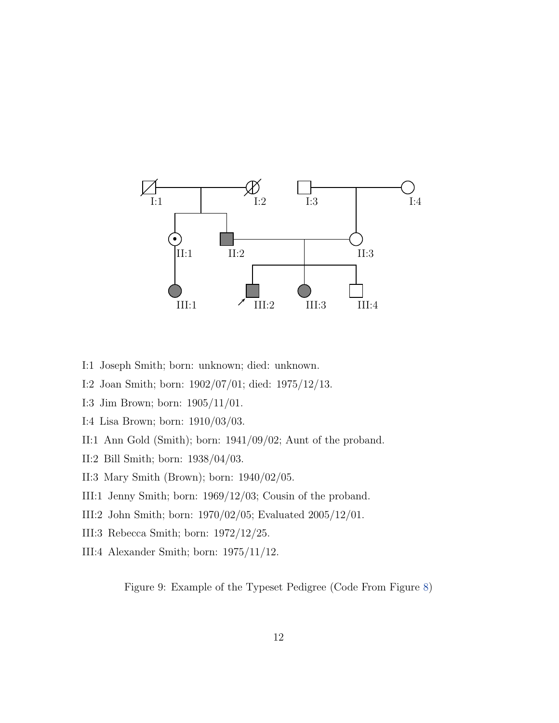

- I:1 Joseph Smith; born: unknown; died: unknown.
- I:2 Joan Smith; born: 1902/07/01; died: 1975/12/13.
- I:3 Jim Brown; born: 1905/11/01.
- I:4 Lisa Brown; born: 1910/03/03.
- II:1 Ann Gold (Smith); born: 1941/09/02; Aunt of the proband.
- II:2 Bill Smith; born: 1938/04/03.
- II:3 Mary Smith (Brown); born: 1940/02/05.
- III:1 Jenny Smith; born: 1969/12/03; Cousin of the proband.
- III:2 John Smith; born: 1970/02/05; Evaluated 2005/12/01.
- III:3 Rebecca Smith; born: 1972/12/25.
- III:4 Alexander Smith; born: 1975/11/12.

<span id="page-11-0"></span>Figure 9: Example of the Typeset Pedigree (Code From Figure [8\)](#page-10-0)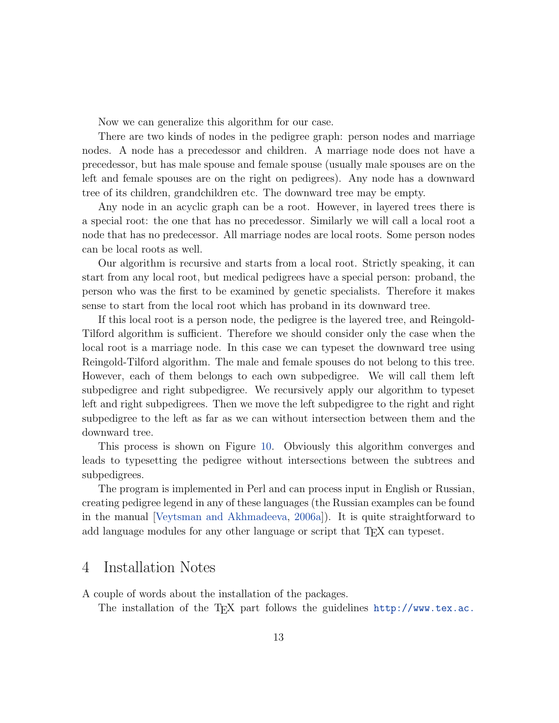Now we can generalize this algorithm for our case.

There are two kinds of nodes in the pedigree graph: person nodes and marriage nodes. A node has a precedessor and children. A marriage node does not have a precedessor, but has male spouse and female spouse (usually male spouses are on the left and female spouses are on the right on pedigrees). Any node has a downward tree of its children, grandchildren etc. The downward tree may be empty.

Any node in an acyclic graph can be a root. However, in layered trees there is a special root: the one that has no precedessor. Similarly we will call a local root a node that has no predecessor. All marriage nodes are local roots. Some person nodes can be local roots as well.

Our algorithm is recursive and starts from a local root. Strictly speaking, it can start from any local root, but medical pedigrees have a special person: proband, the person who was the first to be examined by genetic specialists. Therefore it makes sense to start from the local root which has proband in its downward tree.

If this local root is a person node, the pedigree is the layered tree, and Reingold-Tilford algorithm is sufficient. Therefore we should consider only the case when the local root is a marriage node. In this case we can typeset the downward tree using Reingold-Tilford algorithm. The male and female spouses do not belong to this tree. However, each of them belongs to each own subpedigree. We will call them left subpedigree and right subpedigree. We recursively apply our algorithm to typeset left and right subpedigrees. Then we move the left subpedigree to the right and right subpedigree to the left as far as we can without intersection between them and the downward tree.

This process is shown on Figure [10.](#page-13-0) Obviously this algorithm converges and leads to typesetting the pedigree without intersections between the subtrees and subpedigrees.

The program is implemented in Perl and can process input in English or Russian, creating pedigree legend in any of these languages (the Russian examples can be found in the manual [\[Veytsman and Akhmadeeva,](#page-14-4) [2006a\]](#page-14-4)). It is quite straightforward to add language modules for any other language or script that T<sub>EX</sub> can typeset.

#### 4 Installation Notes

A couple of words about the installation of the packages.

The installation of the T<sub>EX</sub> part follows the guidelines  $http://www.text.ac.$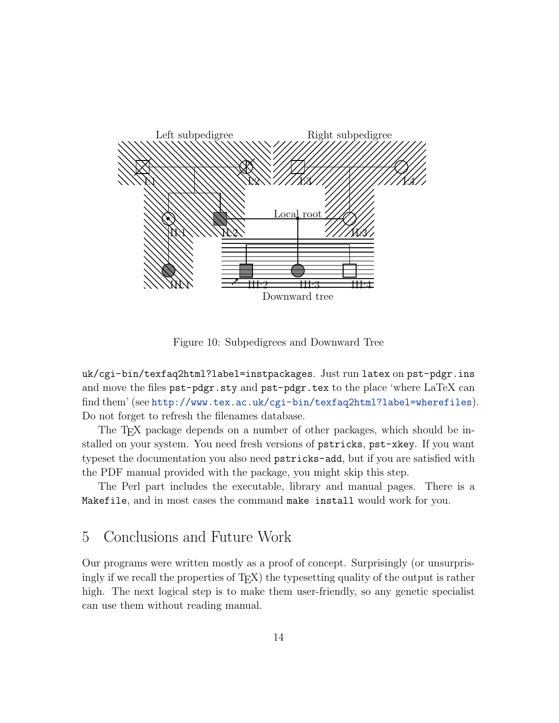

<span id="page-13-0"></span>Figure 10: Subpedigrees and Downward Tree

[uk/cgi-bin/texfaq2html?label=instpackages](http://www.tex.ac.uk/cgi-bin/texfaq2html?label=instpackages). Just run latex on pst-pdgr.ins and move the files pst-pdgr.sty and pst-pdgr.tex to the place 'where LaTeX can find them' (see <http://www.tex.ac.uk/cgi-bin/texfaq2html?label=wherefiles>). Do not forget to refresh the filenames database.

The TEX package depends on a number of other packages, which should be installed on your system. You need fresh versions of pstricks, pst-xkey. If you want typeset the documentation you also need pstricks-add, but if you are satisfied with the PDF manual provided with the package, you might skip this step.

The Perl part includes the executable, library and manual pages. There is a Makefile, and in most cases the command make install would work for you.

## 5 Conclusions and Future Work

Our programs were written mostly as a proof of concept. Surprisingly (or unsurprisingly if we recall the properties of T<sub>E</sub>X) the typesetting quality of the output is rather high. The next logical step is to make them user-friendly, so any genetic specialist can use them without reading manual.